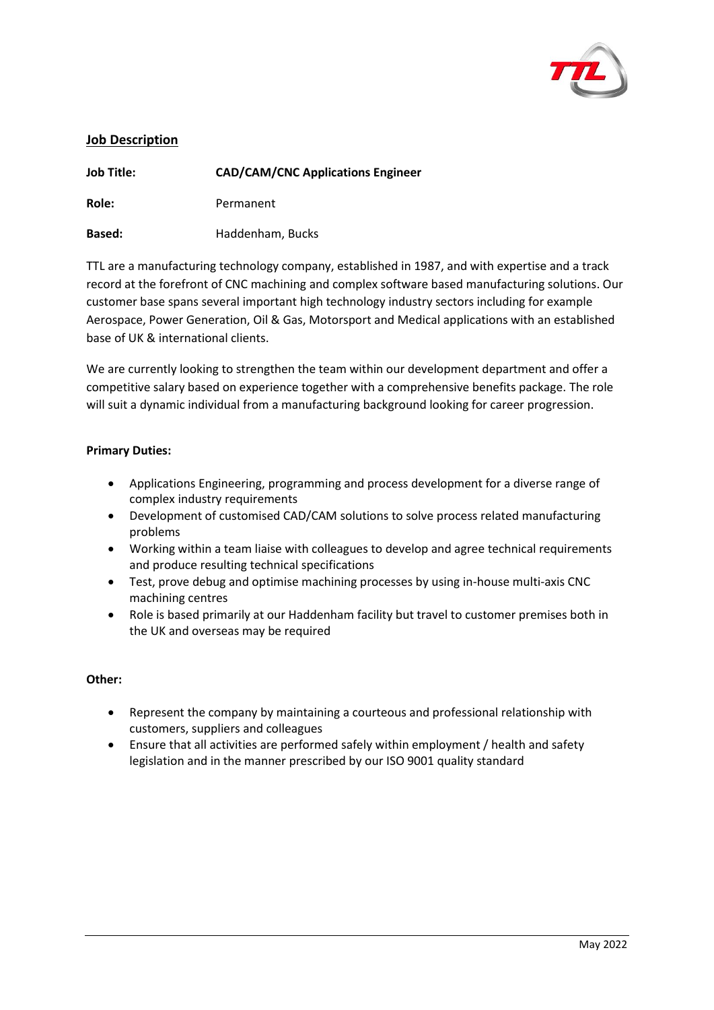

# **Job Description**

| <b>Job Title:</b> | <b>CAD/CAM/CNC Applications Engineer</b> |
|-------------------|------------------------------------------|
| Role:             | Permanent                                |
| <b>Based:</b>     | Haddenham, Bucks                         |

TTL are a manufacturing technology company, established in 1987, and with expertise and a track record at the forefront of CNC machining and complex software based manufacturing solutions. Our customer base spans several important high technology industry sectors including for example Aerospace, Power Generation, Oil & Gas, Motorsport and Medical applications with an established base of UK & international clients.

We are currently looking to strengthen the team within our development department and offer a competitive salary based on experience together with a comprehensive benefits package. The role will suit a dynamic individual from a manufacturing background looking for career progression.

### **Primary Duties:**

- Applications Engineering, programming and process development for a diverse range of complex industry requirements
- Development of customised CAD/CAM solutions to solve process related manufacturing problems
- Working within a team liaise with colleagues to develop and agree technical requirements and produce resulting technical specifications
- Test, prove debug and optimise machining processes by using in-house multi-axis CNC machining centres
- Role is based primarily at our Haddenham facility but travel to customer premises both in the UK and overseas may be required

#### **Other:**

- Represent the company by maintaining a courteous and professional relationship with customers, suppliers and colleagues
- Ensure that all activities are performed safely within employment / health and safety legislation and in the manner prescribed by our ISO 9001 quality standard